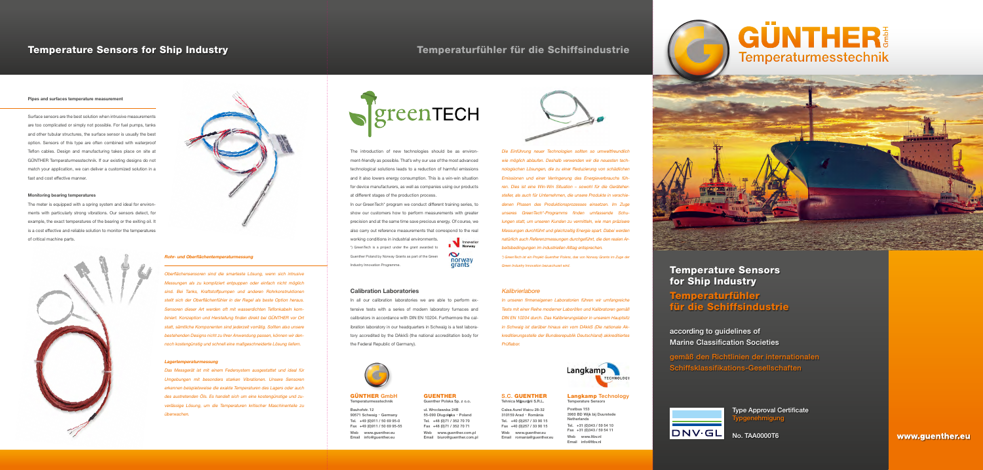

The introduction of new technologies should be as environment-friendly as possible. That's why our use of the most advanced technological solutions leads to a reduction of harmful emissions and it also lowers energy consumption. This is a win-win situation for device manufacturers, as well as companies using our products at different stages of the production process.

In our GreenTech<sup>\*</sup> program we conduct different training series, to show our customers how to perform measurements with greater precision and at the same time save precious energy. Of course, we also carry out reference measurements that correspond to the real

# Calibration Laboratories

In all our calibration laboratories we are able to perform extensive tests with a series of modern laboratory furnaces and calibrators in accordance with DIN EN 10204. Furthermore the calibration laboratory in our headquarters in Schwaig is a test laboratory accredited by the DAkkS (the national accreditation body for the Federal Republic of Germany).



# Temperature Sensors for Ship Industry

Temperaturfühler für die Schiffsindustrie

according to guidelines of Marine Classification Societies

gemäß den Richtlinien der internationalen Schiffsklassifikations-Gesellschaften



# Langkamp Technology Temperature Sensors

Postbus 153 3960 BD Wijk bij Duurstede Netherlands Tel. +31 (0)343 / 59 54 10 Fax +31 (0)343 / 59 54 11 Web www.ltbv.nl Email info@ltbv.nl

# GÜNTHER Temperaturmesstechnik



### S.C. GUENTHER Tehnica Măsurării S.R.L.

Calea Aurel Vlaicu 28-32 310159 Arad · România Tel. +40 (0)257 / 33 90 15 Fax +40 (0)257 / 33 90 15 Web www.guenther.eu Email romania@guenther.eu

# GUENTHER

Guenther Polska Sp. z o.o.

ul. Wroclawska 24B 55-090 Długołęka · Poland Tel. +48 (0)71 / 352 70 70 Fax +48 (0)71 / 352 70 71 Web www.guenther.com.pl Email biuro@guenther.com.pl





# Temperature Sensors for Ship Industry Temperaturfühler für die Schiffsindustrie

# Pipes and surfaces temperature measurement

j

Surface sensors are the best solution when intrusive measurements are too complicated or simply not possible. For fuel pumps, tanks and other tubular structures, the surface sensor is usually the best option. Sensors of this type are often combined with waterproof Teflon cables. Design and manufacturing takes place on site at GÜNTHER Temperaturmesstechnik. If our existing designs do not match your application, we can deliver a customized solution in a fast and cost effective manner.

> working conditions in industrial environments. \*) GreenTech is a project under the grant awarded to Guenther Poland by Norway Grants as part of the Green Industry Innovation Programme.



# Monitoring bearing temperatures

The meter is equipped with a spring system and ideal for environments with particularly strong vibrations. Our sensors detect, for example, the exact temperatures of the bearing or the exiting oil. It is a cost effective and reliable solution to monitor the temperatures of critical machine parts.



Type Approval Certificate <sub>/</sub>pgenehmigung

# Rohr- und Oberflächentemperaturmessung

Oberflächensensoren sind die smarteste Lösung, wenn sich intrusive Messungen als zu kompliziert entpuppen oder einfach nicht möglich sind. Bei Tanks, Kraftstoffpumpen und anderen Rohrkonstruktionen stellt sich der Oberflächenfühler in der Regel als beste Option heraus. Sensoren dieser Art werden oft mit wasserdichten Teflonkabeln kombiniert. Konzeption und Herstellung finden direkt bei GÜNTHER vor Ort statt, sämtliche Komponenten sind jederzeit vorrätig. Sollten also unsere bestehenden Designs nicht zu Ihrer Anwendung passen, können wir dennoch kostengünstig und schnell eine maßgeschneiderte Lösung liefern.

# Lagertemperaturmessung

j

Das Messgerät ist mit einem Federsystem ausgestattet und ideal für Umgebungen mit besonders starken Vibrationen. Unsere Sensoren erkennen beispielsweise die exakte Temperaturen des Lagers oder auch des austretenden Öls. Es handelt sich um eine kostengünstige und zuverlässige Lösung, um die Temperaturen kritischer Maschinenteile zu überwachen.

Die Einführung neuer Technologien sollten so umweltfreundlich wie möglich ablaufen. Deshalb verwenden wir die neuesten technologischen Lösungen, die zu einer Reduzierung von schädlichen Emissionen und einer Verringerung des Energieverbrauchs führen. Dies ist eine Win-Win Situation – sowohl für die Gerätehersteller, als auch für Unternehmen, die unsere Produkte in verschiedenen Phasen des Produktionsprozesses einsetzen. Im Zuge unseres GreenTech\*-Programms finden umfassende Schulungen statt, um unseren Kunden zu vermitteln, wie man präzisere Messungen durchführt und gleichzeitig Energie spart. Dabei werden natürlich auch Referenzmessungen durchgeführt, die den realen Arbeitsbedingungen im industriellen Alltag entsprechen.

\*) GreenTech ist ein Projekt Guenther Polens, das von Norway Grants im Zuge der Green Industry Innovation bezuschusst wird.

# **Kalibrierlabore**

In unseren firmeneigenen Laboratorien führen wir umfangreiche Tests mit einer Reihe moderner Laboröfen und Kalibratoren gemäß DIN EN 10204 durch. Das Kalibrierungslabor in unserem Hauptsitz in Schwaig ist darüber hinaus ein vom DAkkS (Die nationale Akkreditierungsstelle der Bundesrepublik Deutschland) akkreditiertes Prüflabor.



### GÜNTHER GmbH Temperaturmesstechnik

Bauhofstr. 12 90571 Schwaig · Germany Tel. +49 (0)911 / 50 69 95-0 Fax +49 (0)911 / 50 69 95-55 Web www.guenther.eu Email info@guenther.eu

No. TAA0000T6

www.guenther.eu